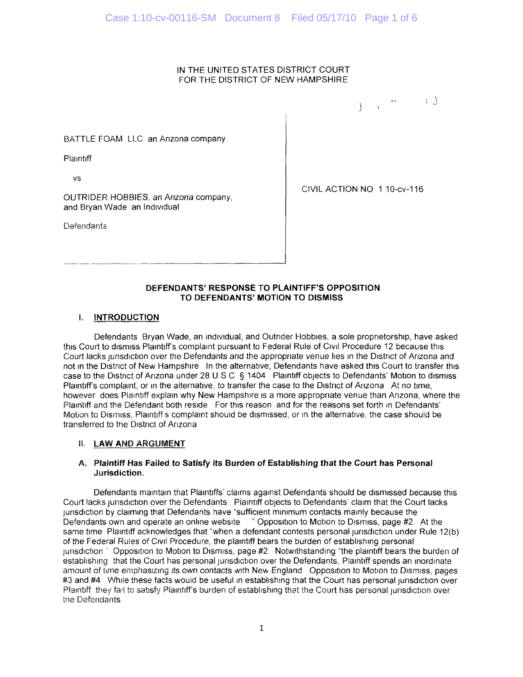## IN THE UNITED STATES DISTRICT COURT FOR THE DISTRICT OF NEW HAMPSHIRE

 $\frac{1}{2}$   $\frac{1}{2}$   $\frac{1}{2}$   $\frac{1}{2}$   $\frac{1}{2}$   $\frac{1}{2}$   $\frac{1}{2}$   $\frac{1}{2}$   $\frac{1}{2}$ 

BATTLE FOAM LLC an Arizona company

**Plaintiff** 

vs

OUTRIDER HOBBIES, an Anzona company, and Bryan Wade an Individual

**Defendants** 

CIVIL ACTION NO 1 10-cv-116

#### **DEFENDANTS' RESPONSE TO PLAINTIFF'S OPPOSITION TO DEFENDANTS' MOTION TO DISMISS**

# **I. INTRODUCTION**

Defendants Bryan Wade, an individual, and Outrider Hobbies, a sole proprietorship, have asked this Court to dismiss Plaintiff's complaint pursuant to Federal Rule of Civil Procedure 12 because this Court lacks jurisdiction over the Defendants and the appropriate venue lies in the District of Arizona and not in the District of New Hampshire In the alternative, Defendants have asked this Court to transfer this case to the District of Arizona under 28 U S C § 1404 Plaintiff objects to Defendants' Motion to dismiss Plaintiff's complaint, or in the alternative, to transfer the case to the District of Arizona At no time, however does Plaintiff explain why New Hampshire is a more appropriate venue than Anzona, where the Plaintiff and the Defendant both reside For this reason and for the reasons set forth in Defendants' Motion to Dismiss, Plaintiffs complaint should be dismissed, or in the alternative, the case should be transferred to the District of Arizona

# **II. LAW AND ARGUMENT**

#### A. **Plaintiff Has Failed to Satisfy its Burden of Establishing that the Court has Personal Jurisdiction.**

Defendants maintain that Plaintiffs' claims against Defendants should be dismissed because this Court lacks jurisdiction over the Defendants Plaintiff objects to Defendants' claim that the Court lacks jurisdiction by claiming that Defendants have "sufficient minimum contacts mainly because the Defendants own and operate an online website " Opposition to Motion to Dismiss, page #2 At the same time Plaintiff acknowledges that "when a defendant contests personal jurisdiction under Rule 12(b) of the Federal Rules of Civil Procedure, the plaintiff bears the burden of establishing personal urisdiction ' Opposition to Motion to Dismiss, page #2 Notwithstanding "the plaintiff bears the burden of establishing that the Court has personal jurisdiction over the Defendants, Plaintiff spends an inordinate amount of time emphasizing its own contacts with New England Opposition to Motion to Dismiss, pages #3 and #4 While these facts would be useful in establishing that the Court has personal jurisdiction over Plaintiff they fa'l to satisfy Plaintiff's burden of establishing that the Court has personal jurisdiction over the Defendants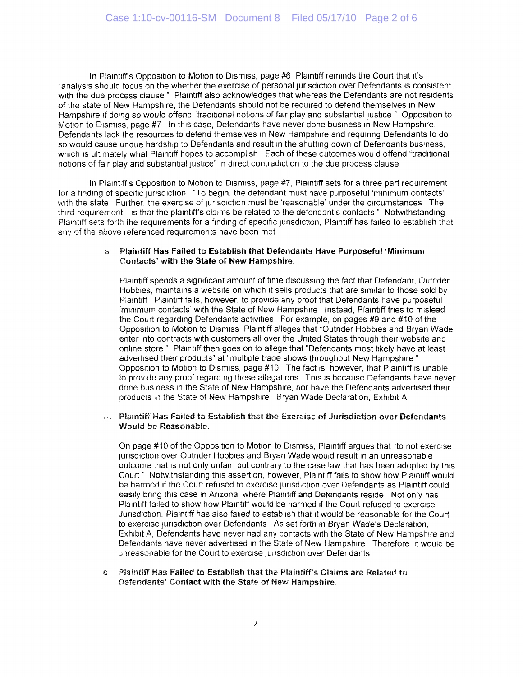In Plaintiff's Opposition to Motion to Dismiss, page #6, Plaintiff reminds the Court that it's ' analysis should focus on the whether the exercise of personal jurisdiction over Defendants is consistent with the due process clause " Plaintiff also acknowledges that whereas the Defendants are not residents of the state of New Hampshire, the Defendants should not be required to defend themselves in New Hampshire if doing so would offend "traditional notions of fair play and substantial justice " Opposition to Motion to Dismiss, page #7 In this case, Defendants have never done business in New Hampshire, Defendants lack the resources to defend themselves in New Hampshire and requiring Defendants to do so would cause undue hardship to Defendants and result in the shutting down of Defendants business, which is ultimately what Plaintiff hopes to accomplish Each of these outcomes would offend "traditional notions of fair play and substantial justice" in direct contradiction to the due process clause

In Plaintiff s Opposition to Motion to Dismiss, page #7, Plaintiff sets for a three part requirement for a finding of specific jurisdiction "To begin, the defendant must have purposeful 'minimum contacts' with the state Further, the exercise of jurisdiction must be 'reasonable' under the circumstances The third requirement is that the plaintiff's claims be related to the defendant's contacts " Notwithstanding Plaintiff sets forth the requirements for a finding of specific jurisdiction, Plaintiff has failed to establish that any of the above referenced requirements have been met

#### a Plaintiff Has Failed to Establish that Defendants Have Purposeful 'Minimum Contacts' with the State of New Hampshire.

Plaintiff spends a significant amount of time discussing the fact that Defendant, Outrider Hobbies, maintains a website on which it sells products that are similar to those sold by Plaintiff Plaintiff fails, however, to provide any proof that Defendants have purposeful 'minimum contacts' with the State of New Hampshire Instead, Plaintiff tries to mislead the Court regarding Defendants activities For example, on pages #9 and #10 of the Opposition to Motion to Dismiss, Plaintiff alleges that "Outrider Hobbies and Bryan Wade enter into contracts with customers all over the United States through their website and online store " Plaintiff then goes on to allege that "Defendants most likely have at least advertised their products" at "multiple trade shows throughout New Hampshire " Opposition to Motion to Dismiss, page #10 The fact is, however, that Plaintiff is unable to provide any proof regarding these allegations This is because Defendants have never done business in the State of New Hampshire, nor have the Defendants advertised their products in the State of New Hampshire Bryan Wade Declaration, Exhibit A

#### i.. Plaintiff Has Failed to Establish that the Exercise of Jurisdiction over Defendants Would be Reasonable.

On page #10 of the Opposition to Motion to Dismiss, Plaintiff argues that 'to not exercise jurisdiction over Outrider Hobbies and Bryan Wade would result in an unreasonable outcome that is not only unfair but contrary to the case law that has been adopted by this Court " Notwithstanding this assertion, however, Plaintiff fails to show how Plaintiff would be harmed if the Court refused to exercise jurisdiction over Defendants as Plaintiff could easily bring this case in Arizona, where Plaintiff and Defendants reside Not only has Plaintiff failed to show how Plaintiff would be harmed if the Court refused to exercise Jurisdiction, Plaintiff has also failed to establish that it would be reasonable for the Court to exercise jurisdiction over Defendants As set forth in Bryan Wade's Declaration, Exhibit A, Defendants have never had any contacts with the State of New Hampshire and Defendants have never advertised in the State of New Hampshire Therefore it would be unreasonable for the Court to exercise junsdiction over Defendants

e Plaintiff Has Failed to Establish that the Plaintiff's Claims are Related to Defendants' Contact with the State of New Hampshire.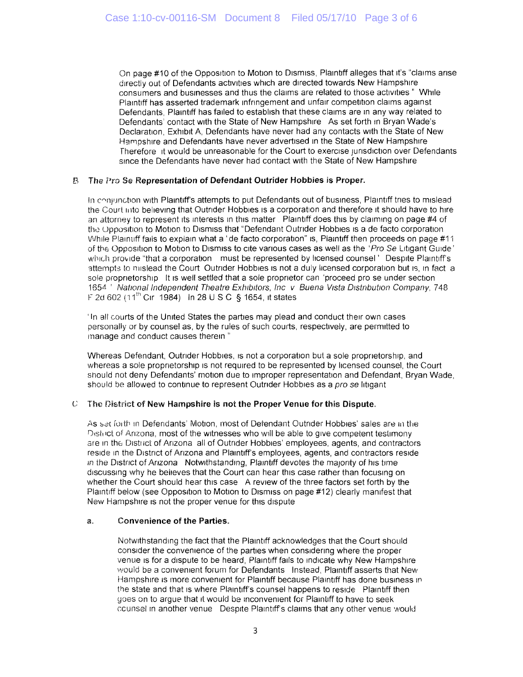On page #10 of the Opposition to Motion to Dismiss, Plaintiff alleges that it's "claims arise directly out of Defendants activities which are directed towards New Hampshire consumers and businesses and thus the claims are related to those activities " While Plaintiff has asserted trademark infringement and unfair competition claims against Defendants, Plaintiff has failed to establish that these claims are in any way related to Defendants' contact with the State of New Hampshire As set forth in Bryan Wade's Declaration, Exhibit A, Defendants have never had any contacts with the State of New Hampshire and Defendants have never advertised in the State of New Hampshire Therefore it would be unreasonable for the Court to exercise jurisdiction over Defendants since the Defendants have never had contact with the State of New Hampshire

## B The Pro Se Representation of Defendant Outrider Hobbies is Proper.

In conjunction with Plaintiff's attempts to put Defendants out of business, Plaintiff tries to mislead the Court into believing that Outrider Hobbies is a corporation and therefore it should have to hire an attorney to represent its interests in this matter Plaintiff does this by claiming on page #4 of the Opposition to Motion to Dismiss that "Defendant Outrider Hobbies is a de facto corporation While Plaintiff fails to explain what a 'de facto corporation" is, Plaintiff then proceeds on page #11 of the Opposition to Motion to Dismiss to cite various cases as well as the 'Pro Se Litigant Guide' which provide "that a corporation must be represented by licensed counsel' Despite Plaintiff's attempts to mislead the Court Outrider Hobbies is not a duly licensed corporation but is, in fact a sole proprietorship It is well settled that a sole proprietor can 'proceed pro se under section 1654<sup>'</sup> National Independent Theatre Exhibitors, Inc v Buena Vista Distribution Company, 748 F 2d 602 (11<sup>th</sup> Cir 1984) In 28 U S C § 1654, it states

' In all courts of the United States the parties may plead and conduct their own cases personally or by counsel as, by the rules of such courts, respectively, are permitted to manage and conduct causes therein "

Whereas Defendant, Outrider Hobbies, is not a corporation but a sole proprietorship, and whereas a sole proprietorship is not required to be represented by licensed counsel, the Court should not deny Defendants' motion due to improper representation and Defendant, Bryan Wade, should be allowed to continue to represent Outrider Hobbies as a pro se litigant

# C The District of New Hampshire is not the Proper Venue for this Dispute.

As set forth in Defendants' Motion, most of Defendant Outrider Hobbies' sales are in the Oisti ict of Arizona, most of the witnesses who will be able to give competent testimony are in the Distnct of Arizona all of Outrider Hobbies' employees, agents, and contractors reside in the District of Arizona and Plaintiff's employees, agents, and contractors reside in the District of Arizona Notwithstanding, Plaintiff devotes the majority of his time discussing why he believes that the Court can hear this case rather than focusing on whether the Court should hear this case A review of the three factors set forth by the Plaintiff below (see Opposition to Motion to Dismiss on page #12) clearly manifest that New Hampshire is not the proper venue for this dispute

# a. Convenience of the Parties.

Notwithstanding the fact that the Plaintiff acknowledges that the Court should consider the convenience of the parties when considering where the proper venue is for a dispute to be heard, Plaintiff fails to indicate why New Hampshire would be a convenient forum for Defendants Instead, Plaintiff asserts that New Hampshire is more convenient for Plaintiff because Plaintiff has done business in the state and that is where Plaintiff's counsel happens to reside Plaintiff then goes on to argue that it would be inconvenient for Plaintiff to have to seek ccunsel in another venue Despite Plaintiffs claims that any other venue would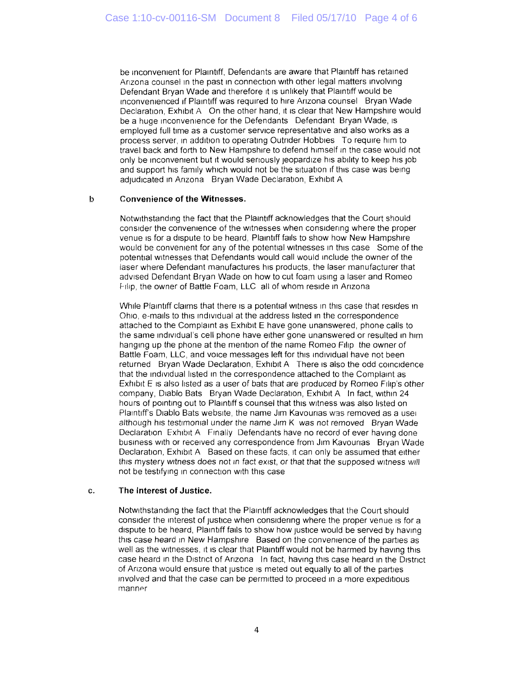be inconvenient for Plaintiff, Defendants are aware that Plaintiff has retained Arizona counsel in the past in connection with other legal matters involving Defendant Bryan Wade and therefore it is unlikely that Plaintiff would be inconvenienced if Plaintiff was required to hire Arizona counsel Bryan Wade Declaration, Exhibit A On the other hand, it is clear that New Hampshire would be a huge inconvenience for the Defendants Defendant Bryan Wade, is employed full time as a customer service representative and also works as a process server, in addition to operating Outrider Hobbies To require him to travel back and forth to New Hampshire to defend himself in the case would not only be inconvenient but it would seriously jeopardize his ability to keep his job and support his family which would not be the situation if this case was being adjudicated in Arizona Bryan Wade Declaration, Exhibit A

#### b **Convenience of the Witnesses.**

Notwithstanding the fact that the Plaintiff acknowledges that the Court should consider the convenience of the witnesses when considering where the proper venue is for a dispute to be heard, Plaintiff fails to show how New Hampshire would be convenient for any of the potential witnesses in this case Some of the potential witnesses that Defendants would call would include the owner of the laser where Defendant manufactures his products, the laser manufacturer that advised Defendant Bryan Wade on how to cut foam using a laser and Romeo Filip, the owner of Battle Foam, LLC all of whom reside in Arizona

While Plaintiff claims that there is a potential witness in this case that resides in Ohio, e-mails to this individual at the address listed in the correspondence attached to the Complaint as Exhibit E have gone unanswered, phone calls to the same individual's cell phone have either gone unanswered or resulted in him hanging up the phone at the mention of the name Romeo Filip the owner of Battle Foam, LLC, and voice messages left for this individual have not been returned Bryan Wade Declaration, Exhibit A There is also the odd coincidence that the individual listed in the correspondence attached to the Complaint as Exhibit E is also listed as a user of bats that are produced by Romeo Filip's other company, Diablo Bats Bryan Wade Declaration, Exhibit A In fact, within 24 hours of pointing out to Plaintiffs counsel that this witness was also listed on Plaintiff's Diablo Bats website, the name Jim Kavounas was removed as a usei although his testimonial under the name Jim K was not removed Bryan Wade Declaration Exhibit A Finally Defendants have no record of ever having done business with or received any correspondence from Jim Kavounas Bryan Wade Declaration, Exhibit A Based on these facts, it can only be assumed that either this mystery witness does not in fact exist, or that that the supposed witness will not be testifying in connection with this case

#### c. **The Interest of Justice.**

Notwithstanding the fact that the Plaintiff acknowledges that the Court should consider the interest of justice when considering where the proper venue is for a dispute to be heard, Plaintiff fails to show how justice would be served by having this case heard in New Hampshire Based on the convenience of the parties as well as the witnesses, it is clear that Plaintiff would not be harmed by having this case heard in the District of Arizona In fact, having this case heard in the District of Arizona would ensure that justice is meted out equally to all of the parties involved and that the case can be permitted to proceed in a more expeditious manner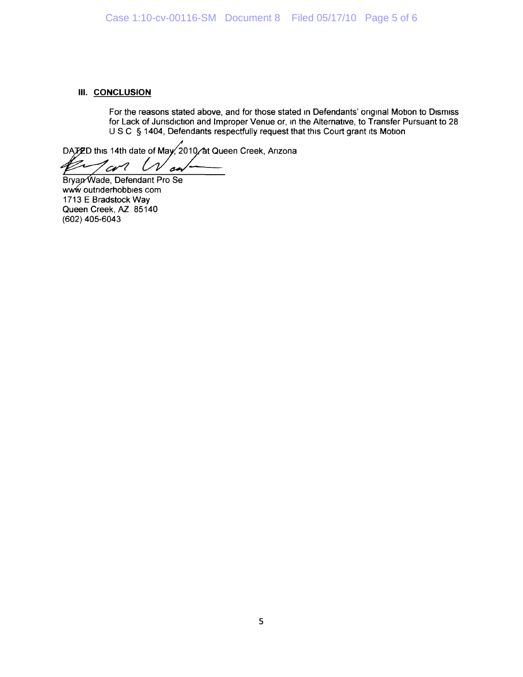## **III.** CONCLUSION

For the reasons stated above, and for those stated in Defendants' original Motion to Dismiss for Lack of Jurisdiction and Improper Venue or, in the Alternative, to Transfer Pursuant to 28 U S C § 1404, Defendants respectfully request that this Court grant its Motion

DATED this 14th date of May 2010 at Queen Creek, Arizona

'cv l o

Bryap<sup><</sup>Wade, Defendant Pro Se www outnderhobbies com 1713 E Bradstock Way Queen Creek, AZ 85140 (602) 405-6043